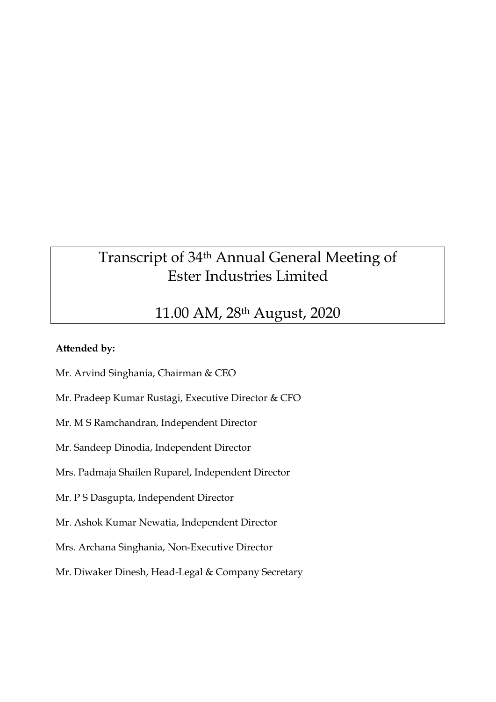# Transcript of 34th Annual General Meeting of Ester Industries Limited

# 11.00 AM, 28th August, 2020

# **Attended by:**

Mr. Arvind Singhania, Chairman & CEO

Mr. Pradeep Kumar Rustagi, Executive Director & CFO

Mr. M S Ramchandran, Independent Director

Mr. Sandeep Dinodia, Independent Director

Mrs. Padmaja Shailen Ruparel, Independent Director

Mr. P S Dasgupta, Independent Director

Mr. Ashok Kumar Newatia, Independent Director

Mrs. Archana Singhania, Non-Executive Director

Mr. Diwaker Dinesh, Head-Legal & Company Secretary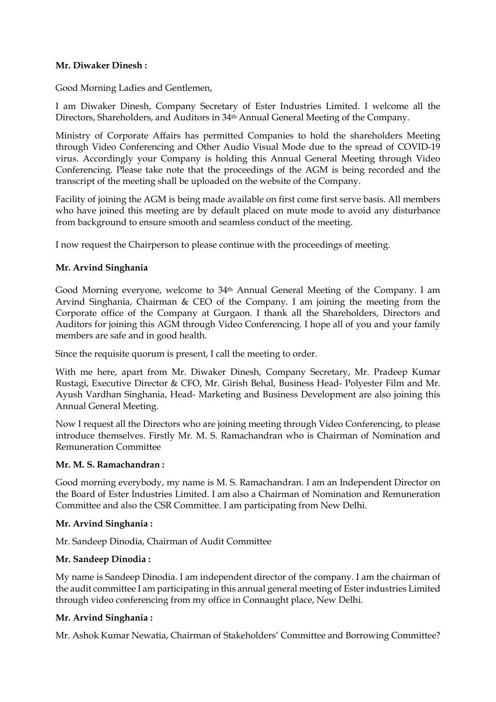#### **Mr. Diwaker Dinesh :**

Good Morning Ladies and Gentlemen,

I am Diwaker Dinesh, Company Secretary of Ester Industries Limited. I welcome all the Directors, Shareholders, and Auditors in 34th Annual General Meeting of the Company.

Ministry of Corporate Affairs has permitted Companies to hold the shareholders Meeting through Video Conferencing and Other Audio Visual Mode due to the spread of COVID-19 virus. Accordingly your Company is holding this Annual General Meeting through Video Conferencing. Please take note that the proceedings of the AGM is being recorded and the transcript of the meeting shall be uploaded on the website of the Company.

Facility of joining the AGM is being made available on first come first serve basis. All members who have joined this meeting are by default placed on mute mode to avoid any disturbance from background to ensure smooth and seamless conduct of the meeting.

I now request the Chairperson to please continue with the proceedings of meeting.

#### **Mr. Arvind Singhania**

Good Morning everyone, welcome to 34th Annual General Meeting of the Company. I am Arvind Singhania, Chairman & CEO of the Company. I am joining the meeting from the Corporate office of the Company at Gurgaon. I thank all the Shareholders, Directors and Auditors for joining this AGM through Video Conferencing. I hope all of you and your family members are safe and in good health.

Since the requisite quorum is present, I call the meeting to order.

With me here, apart from Mr. Diwaker Dinesh, Company Secretary, Mr. Pradeep Kumar Rustagi, Executive Director & CFO, Mr. Girish Behal, Business Head- Polyester Film and Mr. Ayush Vardhan Singhania, Head- Marketing and Business Development are also joining this Annual General Meeting.

Now I request all the Directors who are joining meeting through Video Conferencing, to please introduce themselves. Firstly Mr. M. S. Ramachandran who is Chairman of Nomination and Remuneration Committee

#### **Mr. M. S. Ramachandran :**

Good morning everybody, my name is M. S. Ramachandran. I am an Independent Director on the Board of Ester Industries Limited. I am also a Chairman of Nomination and Remuneration Committee and also the CSR Committee. I am participating from New Delhi.

#### **Mr. Arvind Singhania :**

Mr. Sandeep Dinodia, Chairman of Audit Committee

# **Mr. Sandeep Dinodia :**

My name is Sandeep Dinodia. I am independent director of the company. I am the chairman of the audit committee I am participating in this annual general meeting of Ester industries Limited through video conferencing from my office in Connaught place, New Delhi.

#### **Mr. Arvind Singhania :**

Mr. Ashok Kumar Newatia, Chairman of Stakeholders' Committee and Borrowing Committee?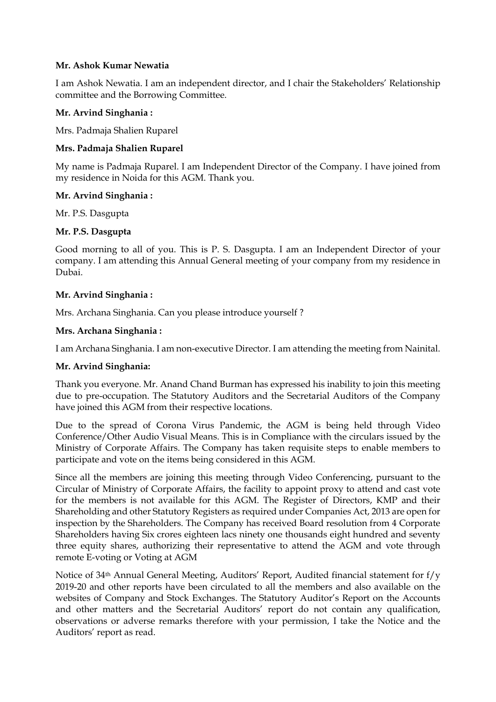#### **Mr. Ashok Kumar Newatia**

I am Ashok Newatia. I am an independent director, and I chair the Stakeholders' Relationship committee and the Borrowing Committee.

## **Mr. Arvind Singhania :**

Mrs. Padmaja Shalien Ruparel

#### **Mrs. Padmaja Shalien Ruparel**

My name is Padmaja Ruparel. I am Independent Director of the Company. I have joined from my residence in Noida for this AGM. Thank you.

#### **Mr. Arvind Singhania :**

Mr. P.S. Dasgupta

#### **Mr. P.S. Dasgupta**

Good morning to all of you. This is P. S. Dasgupta. I am an Independent Director of your company. I am attending this Annual General meeting of your company from my residence in Dubai.

#### **Mr. Arvind Singhania :**

Mrs. Archana Singhania. Can you please introduce yourself ?

#### **Mrs. Archana Singhania :**

I am Archana Singhania. I am non-executive Director. I am attending the meeting from Nainital.

#### **Mr. Arvind Singhania:**

Thank you everyone. Mr. Anand Chand Burman has expressed his inability to join this meeting due to pre-occupation. The Statutory Auditors and the Secretarial Auditors of the Company have joined this AGM from their respective locations.

Due to the spread of Corona Virus Pandemic, the AGM is being held through Video Conference/Other Audio Visual Means. This is in Compliance with the circulars issued by the Ministry of Corporate Affairs. The Company has taken requisite steps to enable members to participate and vote on the items being considered in this AGM.

Since all the members are joining this meeting through Video Conferencing, pursuant to the Circular of Ministry of Corporate Affairs, the facility to appoint proxy to attend and cast vote for the members is not available for this AGM. The Register of Directors, KMP and their Shareholding and other Statutory Registers as required under Companies Act, 2013 are open for inspection by the Shareholders. The Company has received Board resolution from 4 Corporate Shareholders having Six crores eighteen lacs ninety one thousands eight hundred and seventy three equity shares, authorizing their representative to attend the AGM and vote through remote E-voting or Voting at AGM

Notice of 34th Annual General Meeting, Auditors' Report, Audited financial statement for f/y 2019-20 and other reports have been circulated to all the members and also available on the websites of Company and Stock Exchanges. The Statutory Auditor's Report on the Accounts and other matters and the Secretarial Auditors' report do not contain any qualification, observations or adverse remarks therefore with your permission, I take the Notice and the Auditors' report as read.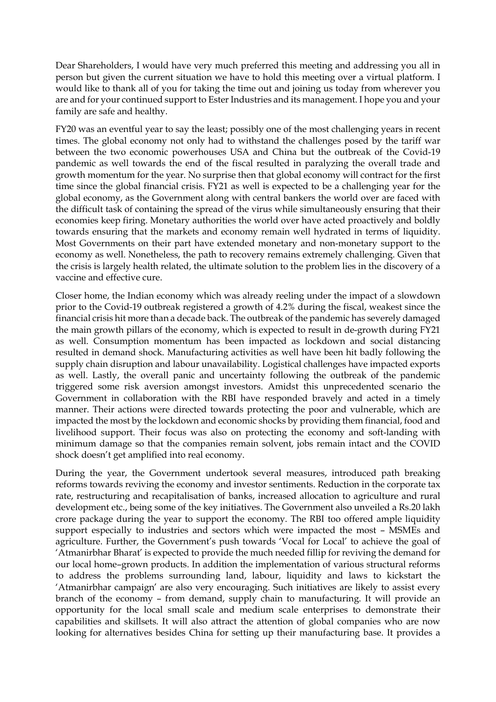Dear Shareholders, I would have very much preferred this meeting and addressing you all in person but given the current situation we have to hold this meeting over a virtual platform. I would like to thank all of you for taking the time out and joining us today from wherever you are and for your continued support to Ester Industries and its management. I hope you and your family are safe and healthy.

FY20 was an eventful year to say the least; possibly one of the most challenging years in recent times. The global economy not only had to withstand the challenges posed by the tariff war between the two economic powerhouses USA and China but the outbreak of the Covid-19 pandemic as well towards the end of the fiscal resulted in paralyzing the overall trade and growth momentum for the year. No surprise then that global economy will contract for the first time since the global financial crisis. FY21 as well is expected to be a challenging year for the global economy, as the Government along with central bankers the world over are faced with the difficult task of containing the spread of the virus while simultaneously ensuring that their economies keep firing. Monetary authorities the world over have acted proactively and boldly towards ensuring that the markets and economy remain well hydrated in terms of liquidity. Most Governments on their part have extended monetary and non-monetary support to the economy as well. Nonetheless, the path to recovery remains extremely challenging. Given that the crisis is largely health related, the ultimate solution to the problem lies in the discovery of a vaccine and effective cure.

Closer home, the Indian economy which was already reeling under the impact of a slowdown prior to the Covid-19 outbreak registered a growth of 4.2% during the fiscal, weakest since the financial crisis hit more than a decade back. The outbreak of the pandemic has severely damaged the main growth pillars of the economy, which is expected to result in de-growth during FY21 as well. Consumption momentum has been impacted as lockdown and social distancing resulted in demand shock. Manufacturing activities as well have been hit badly following the supply chain disruption and labour unavailability. Logistical challenges have impacted exports as well. Lastly, the overall panic and uncertainty following the outbreak of the pandemic triggered some risk aversion amongst investors. Amidst this unprecedented scenario the Government in collaboration with the RBI have responded bravely and acted in a timely manner. Their actions were directed towards protecting the poor and vulnerable, which are impacted the most by the lockdown and economic shocks by providing them financial, food and livelihood support. Their focus was also on protecting the economy and soft-landing with minimum damage so that the companies remain solvent, jobs remain intact and the COVID shock doesn't get amplified into real economy.

During the year, the Government undertook several measures, introduced path breaking reforms towards reviving the economy and investor sentiments. Reduction in the corporate tax rate, restructuring and recapitalisation of banks, increased allocation to agriculture and rural development etc., being some of the key initiatives. The Government also unveiled a Rs.20 lakh crore package during the year to support the economy. The RBI too offered ample liquidity support especially to industries and sectors which were impacted the most – MSMEs and agriculture. Further, the Government's push towards 'Vocal for Local' to achieve the goal of 'Atmanirbhar Bharat' is expected to provide the much needed fillip for reviving the demand for our local home–grown products. In addition the implementation of various structural reforms to address the problems surrounding land, labour, liquidity and laws to kickstart the 'Atmanirbhar campaign' are also very encouraging. Such initiatives are likely to assist every branch of the economy – from demand, supply chain to manufacturing. It will provide an opportunity for the local small scale and medium scale enterprises to demonstrate their capabilities and skillsets. It will also attract the attention of global companies who are now looking for alternatives besides China for setting up their manufacturing base. It provides a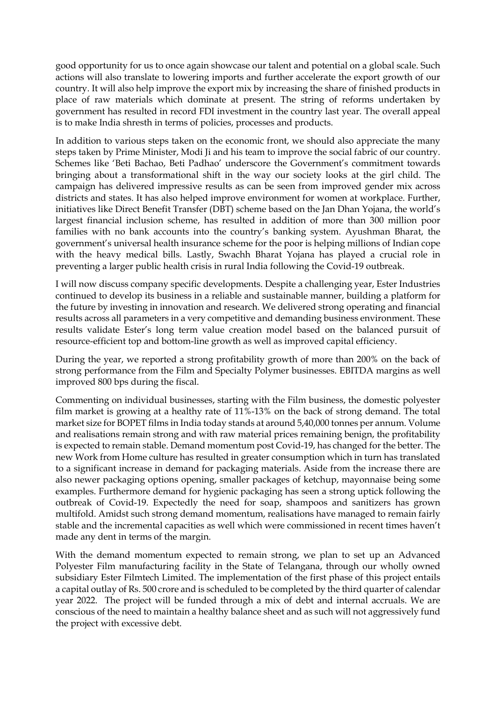good opportunity for us to once again showcase our talent and potential on a global scale. Such actions will also translate to lowering imports and further accelerate the export growth of our country. It will also help improve the export mix by increasing the share of finished products in place of raw materials which dominate at present. The string of reforms undertaken by government has resulted in record FDI investment in the country last year. The overall appeal is to make India shresth in terms of policies, processes and products.

In addition to various steps taken on the economic front, we should also appreciate the many steps taken by Prime Minister, Modi Ji and his team to improve the social fabric of our country. Schemes like 'Beti Bachao, Beti Padhao' underscore the Government's commitment towards bringing about a transformational shift in the way our society looks at the girl child. The campaign has delivered impressive results as can be seen from improved gender mix across districts and states. It has also helped improve environment for women at workplace. Further, initiatives like Direct Benefit Transfer (DBT) scheme based on the Jan Dhan Yojana, the world's largest financial inclusion scheme, has resulted in addition of more than 300 million poor families with no bank accounts into the country's banking system. Ayushman Bharat, the government's universal health insurance scheme for the poor is helping millions of Indian cope with the heavy medical bills. Lastly, Swachh Bharat Yojana has played a crucial role in preventing a larger public health crisis in rural India following the Covid-19 outbreak.

I will now discuss company specific developments. Despite a challenging year, Ester Industries continued to develop its business in a reliable and sustainable manner, building a platform for the future by investing in innovation and research. We delivered strong operating and financial results across all parameters in a very competitive and demanding business environment. These results validate Ester's long term value creation model based on the balanced pursuit of resource-efficient top and bottom-line growth as well as improved capital efficiency.

During the year, we reported a strong profitability growth of more than 200% on the back of strong performance from the Film and Specialty Polymer businesses. EBITDA margins as well improved 800 bps during the fiscal.

Commenting on individual businesses, starting with the Film business, the domestic polyester film market is growing at a healthy rate of 11%-13% on the back of strong demand. The total market size for BOPET films in India today stands at around 5,40,000 tonnes per annum. Volume and realisations remain strong and with raw material prices remaining benign, the profitability is expected to remain stable. Demand momentum post Covid-19, has changed for the better. The new Work from Home culture has resulted in greater consumption which in turn has translated to a significant increase in demand for packaging materials. Aside from the increase there are also newer packaging options opening, smaller packages of ketchup, mayonnaise being some examples. Furthermore demand for hygienic packaging has seen a strong uptick following the outbreak of Covid-19. Expectedly the need for soap, shampoos and sanitizers has grown multifold. Amidst such strong demand momentum, realisations have managed to remain fairly stable and the incremental capacities as well which were commissioned in recent times haven't made any dent in terms of the margin.

With the demand momentum expected to remain strong, we plan to set up an Advanced Polyester Film manufacturing facility in the State of Telangana, through our wholly owned subsidiary Ester Filmtech Limited. The implementation of the first phase of this project entails a capital outlay of Rs. 500 crore and is scheduled to be completed by the third quarter of calendar year 2022. The project will be funded through a mix of debt and internal accruals. We are conscious of the need to maintain a healthy balance sheet and as such will not aggressively fund the project with excessive debt.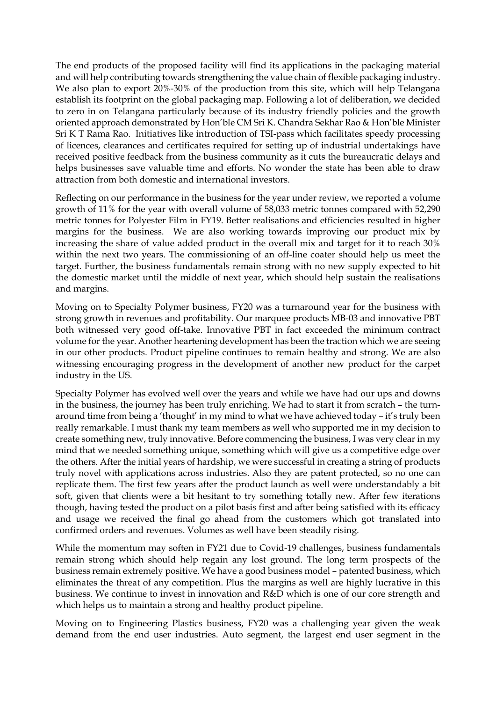The end products of the proposed facility will find its applications in the packaging material and will help contributing towards strengthening the value chain of flexible packaging industry. We also plan to export 20%-30% of the production from this site, which will help Telangana establish its footprint on the global packaging map. Following a lot of deliberation, we decided to zero in on Telangana particularly because of its industry friendly policies and the growth oriented approach demonstrated by Hon'ble CM Sri K. Chandra Sekhar Rao & Hon'ble Minister Sri K T Rama Rao. Initiatives like introduction of TSI-pass which facilitates speedy processing of licences, clearances and certificates required for setting up of industrial undertakings have received positive feedback from the business community as it cuts the bureaucratic delays and helps businesses save valuable time and efforts. No wonder the state has been able to draw attraction from both domestic and international investors.

Reflecting on our performance in the business for the year under review, we reported a volume growth of 11% for the year with overall volume of 58,033 metric tonnes compared with 52,290 metric tonnes for Polyester Film in FY19. Better realisations and efficiencies resulted in higher margins for the business. We are also working towards improving our product mix by increasing the share of value added product in the overall mix and target for it to reach 30% within the next two years. The commissioning of an off-line coater should help us meet the target. Further, the business fundamentals remain strong with no new supply expected to hit the domestic market until the middle of next year, which should help sustain the realisations and margins.

Moving on to Specialty Polymer business, FY20 was a turnaround year for the business with strong growth in revenues and profitability. Our marquee products MB-03 and innovative PBT both witnessed very good off-take. Innovative PBT in fact exceeded the minimum contract volume for the year. Another heartening development has been the traction which we are seeing in our other products. Product pipeline continues to remain healthy and strong. We are also witnessing encouraging progress in the development of another new product for the carpet industry in the US.

Specialty Polymer has evolved well over the years and while we have had our ups and downs in the business, the journey has been truly enriching. We had to start it from scratch – the turnaround time from being a 'thought' in my mind to what we have achieved today – it's truly been really remarkable. I must thank my team members as well who supported me in my decision to create something new, truly innovative. Before commencing the business, I was very clear in my mind that we needed something unique, something which will give us a competitive edge over the others. After the initial years of hardship, we were successful in creating a string of products truly novel with applications across industries. Also they are patent protected, so no one can replicate them. The first few years after the product launch as well were understandably a bit soft, given that clients were a bit hesitant to try something totally new. After few iterations though, having tested the product on a pilot basis first and after being satisfied with its efficacy and usage we received the final go ahead from the customers which got translated into confirmed orders and revenues. Volumes as well have been steadily rising.

While the momentum may soften in FY21 due to Covid-19 challenges, business fundamentals remain strong which should help regain any lost ground. The long term prospects of the business remain extremely positive. We have a good business model – patented business, which eliminates the threat of any competition. Plus the margins as well are highly lucrative in this business. We continue to invest in innovation and R&D which is one of our core strength and which helps us to maintain a strong and healthy product pipeline.

Moving on to Engineering Plastics business, FY20 was a challenging year given the weak demand from the end user industries. Auto segment, the largest end user segment in the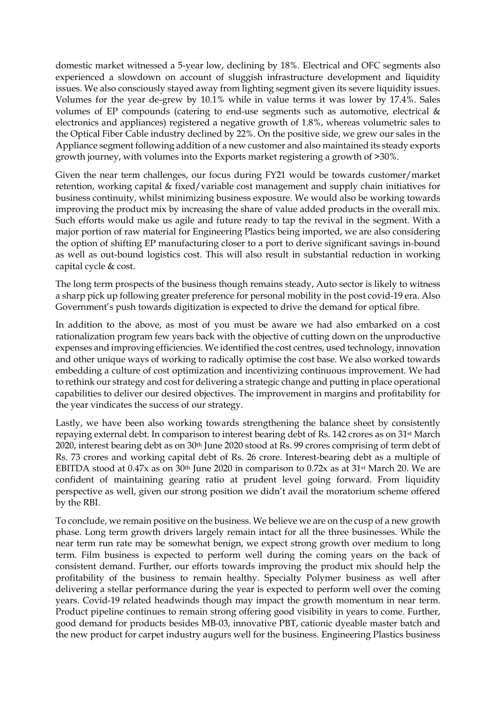domestic market witnessed a 5-year low, declining by 18%. Electrical and OFC segments also experienced a slowdown on account of sluggish infrastructure development and liquidity issues. We also consciously stayed away from lighting segment given its severe liquidity issues. Volumes for the year de-grew by 10.1% while in value terms it was lower by 17.4%. Sales volumes of EP compounds (catering to end-use segments such as automotive, electrical & electronics and appliances) registered a negative growth of 1.8%, whereas volumetric sales to the Optical Fiber Cable industry declined by 22%. On the positive side, we grew our sales in the Appliance segment following addition of a new customer and also maintained its steady exports growth journey, with volumes into the Exports market registering a growth of >30%.

Given the near term challenges, our focus during FY21 would be towards customer/market retention, working capital & fixed/variable cost management and supply chain initiatives for business continuity, whilst minimizing business exposure. We would also be working towards improving the product mix by increasing the share of value added products in the overall mix. Such efforts would make us agile and future ready to tap the revival in the segment. With a major portion of raw material for Engineering Plastics being imported, we are also considering the option of shifting EP manufacturing closer to a port to derive significant savings in-bound as well as out-bound logistics cost. This will also result in substantial reduction in working capital cycle & cost.

The long term prospects of the business though remains steady, Auto sector is likely to witness a sharp pick up following greater preference for personal mobility in the post covid-19 era. Also Government's push towards digitization is expected to drive the demand for optical fibre.

In addition to the above, as most of you must be aware we had also embarked on a cost rationalization program few years back with the objective of cutting down on the unproductive expenses and improving efficiencies. We identified the cost centres, used technology, innovation and other unique ways of working to radically optimise the cost base. We also worked towards embedding a culture of cost optimization and incentivizing continuous improvement. We had to rethink our strategy and cost for delivering a strategic change and putting in place operational capabilities to deliver our desired objectives. The improvement in margins and profitability for the year vindicates the success of our strategy.

Lastly, we have been also working towards strengthening the balance sheet by consistently repaying external debt. In comparison to interest bearing debt of Rs. 142 crores as on 31st March 2020, interest bearing debt as on 30th June 2020 stood at Rs. 99 crores comprising of term debt of Rs. 73 crores and working capital debt of Rs. 26 crore. Interest-bearing debt as a multiple of EBITDA stood at  $0.47x$  as on  $30<sup>th</sup>$  June 2020 in comparison to  $0.72x$  as at  $31<sup>st</sup>$  March 20. We are confident of maintaining gearing ratio at prudent level going forward. From liquidity perspective as well, given our strong position we didn't avail the moratorium scheme offered by the RBI.

To conclude, we remain positive on the business. We believe we are on the cusp of a new growth phase. Long term growth drivers largely remain intact for all the three businesses. While the near term run rate may be somewhat benign, we expect strong growth over medium to long term. Film business is expected to perform well during the coming years on the back of consistent demand. Further, our efforts towards improving the product mix should help the profitability of the business to remain healthy. Specialty Polymer business as well after delivering a stellar performance during the year is expected to perform well over the coming years. Covid-19 related headwinds though may impact the growth momentum in near term. Product pipeline continues to remain strong offering good visibility in years to come. Further, good demand for products besides MB-03, innovative PBT, cationic dyeable master batch and the new product for carpet industry augurs well for the business. Engineering Plastics business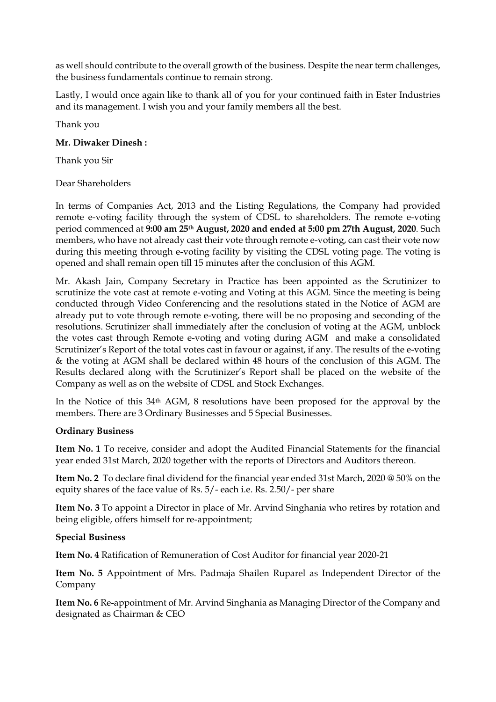as well should contribute to the overall growth of the business. Despite the near term challenges, the business fundamentals continue to remain strong.

Lastly, I would once again like to thank all of you for your continued faith in Ester Industries and its management. I wish you and your family members all the best.

Thank you

#### **Mr. Diwaker Dinesh :**

Thank you Sir

#### Dear Shareholders

In terms of Companies Act, 2013 and the Listing Regulations, the Company had provided remote e-voting facility through the system of CDSL to shareholders. The remote e-voting period commenced at **9:00 am 25th August, 2020 and ended at 5:00 pm 27th August, 2020**. Such members, who have not already cast their vote through remote e-voting, can cast their vote now during this meeting through e-voting facility by visiting the CDSL voting page. The voting is opened and shall remain open till 15 minutes after the conclusion of this AGM.

Mr. Akash Jain, Company Secretary in Practice has been appointed as the Scrutinizer to scrutinize the vote cast at remote e-voting and Voting at this AGM. Since the meeting is being conducted through Video Conferencing and the resolutions stated in the Notice of AGM are already put to vote through remote e-voting, there will be no proposing and seconding of the resolutions. Scrutinizer shall immediately after the conclusion of voting at the AGM, unblock the votes cast through Remote e-voting and voting during AGM and make a consolidated Scrutinizer's Report of the total votes cast in favour or against, if any. The results of the e-voting & the voting at AGM shall be declared within 48 hours of the conclusion of this AGM. The Results declared along with the Scrutinizer's Report shall be placed on the website of the Company as well as on the website of CDSL and Stock Exchanges.

In the Notice of this 34th AGM, 8 resolutions have been proposed for the approval by the members. There are 3 Ordinary Businesses and 5 Special Businesses.

#### **Ordinary Business**

**Item No. 1** To receive, consider and adopt the Audited Financial Statements for the financial year ended 31st March, 2020 together with the reports of Directors and Auditors thereon.

**Item No. 2** To declare final dividend for the financial year ended 31st March, 2020 @ 50% on the equity shares of the face value of Rs. 5/- each i.e. Rs. 2.50/- per share

**Item No. 3** To appoint a Director in place of Mr. Arvind Singhania who retires by rotation and being eligible, offers himself for re-appointment;

#### **Special Business**

**Item No. 4** Ratification of Remuneration of Cost Auditor for financial year 2020-21

**Item No. 5** Appointment of Mrs. Padmaja Shailen Ruparel as Independent Director of the Company

**Item No. 6** Re-appointment of Mr. Arvind Singhania as Managing Director of the Company and designated as Chairman & CEO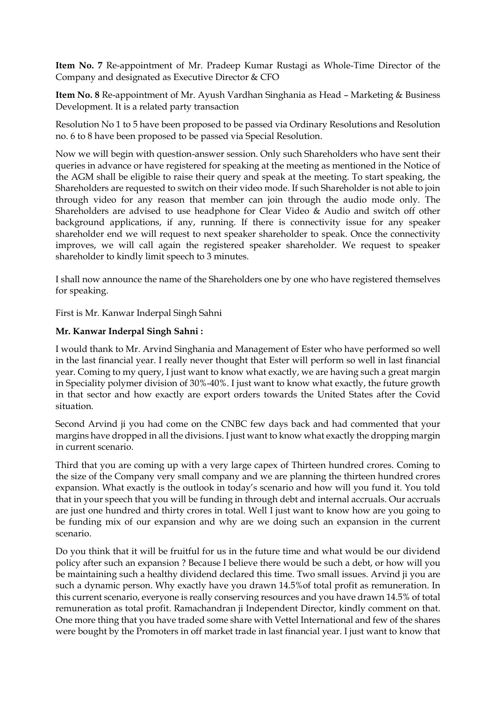**Item No. 7** Re-appointment of Mr. Pradeep Kumar Rustagi as Whole-Time Director of the Company and designated as Executive Director & CFO

**Item No. 8** Re-appointment of Mr. Ayush Vardhan Singhania as Head – Marketing & Business Development. It is a related party transaction

Resolution No 1 to 5 have been proposed to be passed via Ordinary Resolutions and Resolution no. 6 to 8 have been proposed to be passed via Special Resolution.

Now we will begin with question-answer session. Only such Shareholders who have sent their queries in advance or have registered for speaking at the meeting as mentioned in the Notice of the AGM shall be eligible to raise their query and speak at the meeting. To start speaking, the Shareholders are requested to switch on their video mode. If such Shareholder is not able to join through video for any reason that member can join through the audio mode only. The Shareholders are advised to use headphone for Clear Video & Audio and switch off other background applications, if any, running. If there is connectivity issue for any speaker shareholder end we will request to next speaker shareholder to speak. Once the connectivity improves, we will call again the registered speaker shareholder. We request to speaker shareholder to kindly limit speech to 3 minutes.

I shall now announce the name of the Shareholders one by one who have registered themselves for speaking.

First is Mr. Kanwar Inderpal Singh Sahni

#### **Mr. Kanwar Inderpal Singh Sahni :**

I would thank to Mr. Arvind Singhania and Management of Ester who have performed so well in the last financial year. I really never thought that Ester will perform so well in last financial year. Coming to my query, I just want to know what exactly, we are having such a great margin in Speciality polymer division of 30%-40%. I just want to know what exactly, the future growth in that sector and how exactly are export orders towards the United States after the Covid situation.

Second Arvind ji you had come on the CNBC few days back and had commented that your margins have dropped in all the divisions. I just want to know what exactly the dropping margin in current scenario.

Third that you are coming up with a very large capex of Thirteen hundred crores. Coming to the size of the Company very small company and we are planning the thirteen hundred crores expansion. What exactly is the outlook in today's scenario and how will you fund it. You told that in your speech that you will be funding in through debt and internal accruals. Our accruals are just one hundred and thirty crores in total. Well I just want to know how are you going to be funding mix of our expansion and why are we doing such an expansion in the current scenario.

Do you think that it will be fruitful for us in the future time and what would be our dividend policy after such an expansion ? Because I believe there would be such a debt, or how will you be maintaining such a healthy dividend declared this time. Two small issues. Arvind ji you are such a dynamic person. Why exactly have you drawn 14.5%of total profit as remuneration. In this current scenario, everyone is really conserving resources and you have drawn 14.5% of total remuneration as total profit. Ramachandran ji Independent Director, kindly comment on that. One more thing that you have traded some share with Vettel International and few of the shares were bought by the Promoters in off market trade in last financial year. I just want to know that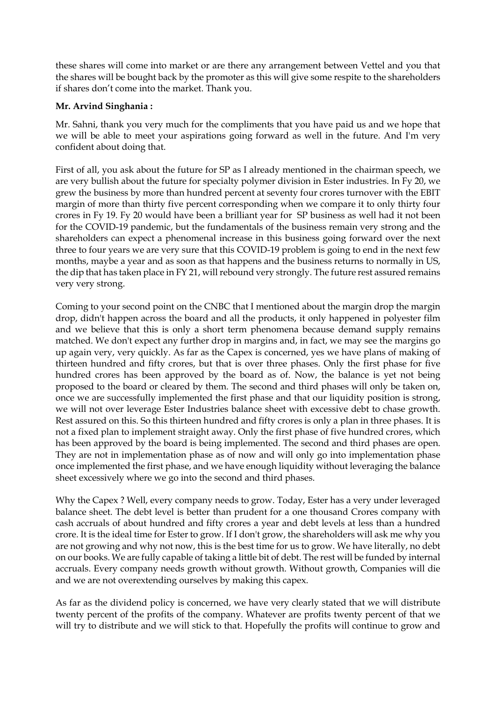these shares will come into market or are there any arrangement between Vettel and you that the shares will be bought back by the promoter as this will give some respite to the shareholders if shares don't come into the market. Thank you.

## **Mr. Arvind Singhania :**

Mr. Sahni, thank you very much for the compliments that you have paid us and we hope that we will be able to meet your aspirations going forward as well in the future. And I'm very confident about doing that.

First of all, you ask about the future for SP as I already mentioned in the chairman speech, we are very bullish about the future for specialty polymer division in Ester industries. In Fy 20, we grew the business by more than hundred percent at seventy four crores turnover with the EBIT margin of more than thirty five percent corresponding when we compare it to only thirty four crores in Fy 19. Fy 20 would have been a brilliant year for SP business as well had it not been for the COVID-19 pandemic, but the fundamentals of the business remain very strong and the shareholders can expect a phenomenal increase in this business going forward over the next three to four years we are very sure that this COVID-19 problem is going to end in the next few months, maybe a year and as soon as that happens and the business returns to normally in US, the dip that has taken place in FY 21, will rebound very strongly. The future rest assured remains very very strong.

Coming to your second point on the CNBC that I mentioned about the margin drop the margin drop, didn't happen across the board and all the products, it only happened in polyester film and we believe that this is only a short term phenomena because demand supply remains matched. We don't expect any further drop in margins and, in fact, we may see the margins go up again very, very quickly. As far as the Capex is concerned, yes we have plans of making of thirteen hundred and fifty crores, but that is over three phases. Only the first phase for five hundred crores has been approved by the board as of. Now, the balance is yet not being proposed to the board or cleared by them. The second and third phases will only be taken on, once we are successfully implemented the first phase and that our liquidity position is strong, we will not over leverage Ester Industries balance sheet with excessive debt to chase growth. Rest assured on this. So this thirteen hundred and fifty crores is only a plan in three phases. It is not a fixed plan to implement straight away. Only the first phase of five hundred crores, which has been approved by the board is being implemented. The second and third phases are open. They are not in implementation phase as of now and will only go into implementation phase once implemented the first phase, and we have enough liquidity without leveraging the balance sheet excessively where we go into the second and third phases.

Why the Capex ? Well, every company needs to grow. Today, Ester has a very under leveraged balance sheet. The debt level is better than prudent for a one thousand Crores company with cash accruals of about hundred and fifty crores a year and debt levels at less than a hundred crore. It is the ideal time for Ester to grow. If I don't grow, the shareholders will ask me why you are not growing and why not now, this is the best time for us to grow. We have literally, no debt on our books. We are fully capable of taking a little bit of debt. The rest will be funded by internal accruals. Every company needs growth without growth. Without growth, Companies will die and we are not overextending ourselves by making this capex.

As far as the dividend policy is concerned, we have very clearly stated that we will distribute twenty percent of the profits of the company. Whatever are profits twenty percent of that we will try to distribute and we will stick to that. Hopefully the profits will continue to grow and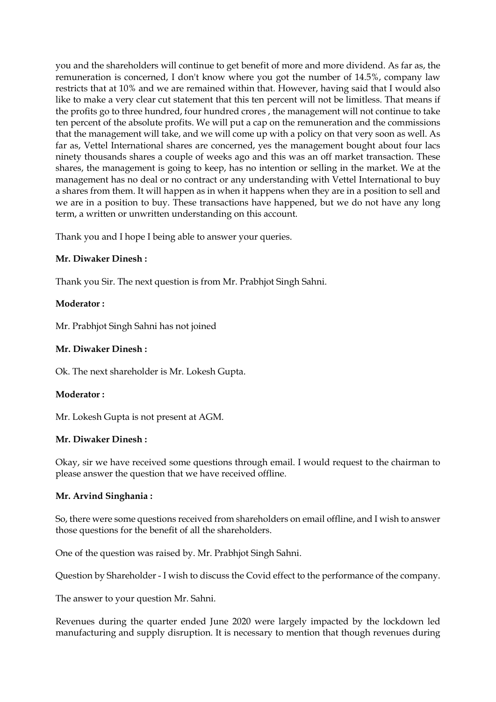you and the shareholders will continue to get benefit of more and more dividend. As far as, the remuneration is concerned, I don't know where you got the number of 14.5%, company law restricts that at 10% and we are remained within that. However, having said that I would also like to make a very clear cut statement that this ten percent will not be limitless. That means if the profits go to three hundred, four hundred crores , the management will not continue to take ten percent of the absolute profits. We will put a cap on the remuneration and the commissions that the management will take, and we will come up with a policy on that very soon as well. As far as, Vettel International shares are concerned, yes the management bought about four lacs ninety thousands shares a couple of weeks ago and this was an off market transaction. These shares, the management is going to keep, has no intention or selling in the market. We at the management has no deal or no contract or any understanding with Vettel International to buy a shares from them. It will happen as in when it happens when they are in a position to sell and we are in a position to buy. These transactions have happened, but we do not have any long term, a written or unwritten understanding on this account.

Thank you and I hope I being able to answer your queries.

#### **Mr. Diwaker Dinesh :**

Thank you Sir. The next question is from Mr. Prabhjot Singh Sahni.

#### **Moderator :**

Mr. Prabhjot Singh Sahni has not joined

#### **Mr. Diwaker Dinesh :**

Ok. The next shareholder is Mr. Lokesh Gupta.

#### **Moderator :**

Mr. Lokesh Gupta is not present at AGM.

#### **Mr. Diwaker Dinesh :**

Okay, sir we have received some questions through email. I would request to the chairman to please answer the question that we have received offline.

#### **Mr. Arvind Singhania :**

So, there were some questions received from shareholders on email offline, and I wish to answer those questions for the benefit of all the shareholders.

One of the question was raised by. Mr. Prabhjot Singh Sahni.

Question by Shareholder - I wish to discuss the Covid effect to the performance of the company.

The answer to your question Mr. Sahni.

Revenues during the quarter ended June 2020 were largely impacted by the lockdown led manufacturing and supply disruption. It is necessary to mention that though revenues during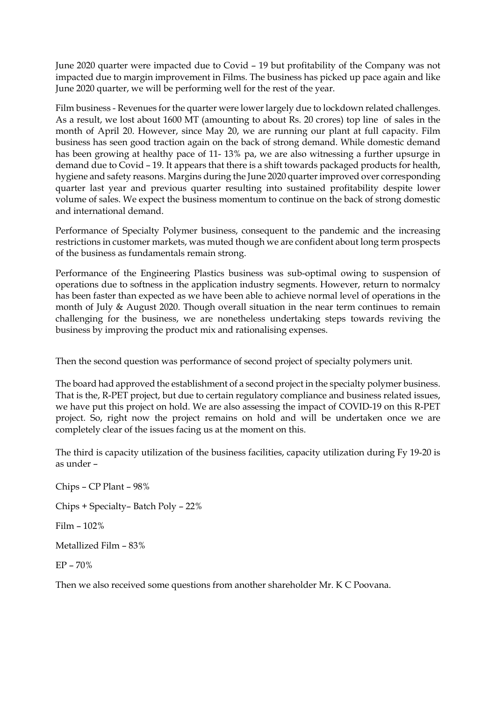June 2020 quarter were impacted due to Covid – 19 but profitability of the Company was not impacted due to margin improvement in Films. The business has picked up pace again and like June 2020 quarter, we will be performing well for the rest of the year.

Film business - Revenues for the quarter were lower largely due to lockdown related challenges. As a result, we lost about 1600 MT (amounting to about Rs. 20 crores) top line of sales in the month of April 20. However, since May 20, we are running our plant at full capacity. Film business has seen good traction again on the back of strong demand. While domestic demand has been growing at healthy pace of 11- 13% pa, we are also witnessing a further upsurge in demand due to Covid – 19. It appears that there is a shift towards packaged products for health, hygiene and safety reasons. Margins during the June 2020 quarter improved over corresponding quarter last year and previous quarter resulting into sustained profitability despite lower volume of sales. We expect the business momentum to continue on the back of strong domestic and international demand.

Performance of Specialty Polymer business, consequent to the pandemic and the increasing restrictions in customer markets, was muted though we are confident about long term prospects of the business as fundamentals remain strong.

Performance of the Engineering Plastics business was sub-optimal owing to suspension of operations due to softness in the application industry segments. However, return to normalcy has been faster than expected as we have been able to achieve normal level of operations in the month of July & August 2020. Though overall situation in the near term continues to remain challenging for the business, we are nonetheless undertaking steps towards reviving the business by improving the product mix and rationalising expenses.

Then the second question was performance of second project of specialty polymers unit.

The board had approved the establishment of a second project in the specialty polymer business. That is the, R-PET project, but due to certain regulatory compliance and business related issues, we have put this project on hold. We are also assessing the impact of COVID-19 on this R-PET project. So, right now the project remains on hold and will be undertaken once we are completely clear of the issues facing us at the moment on this.

The third is capacity utilization of the business facilities, capacity utilization during Fy 19-20 is as under –

Chips – CP Plant – 98% Chips + Specialty– Batch Poly – 22% Film – 102% Metallized Film – 83% EP – 70% Then we also received some questions from another shareholder Mr. K C Poovana.